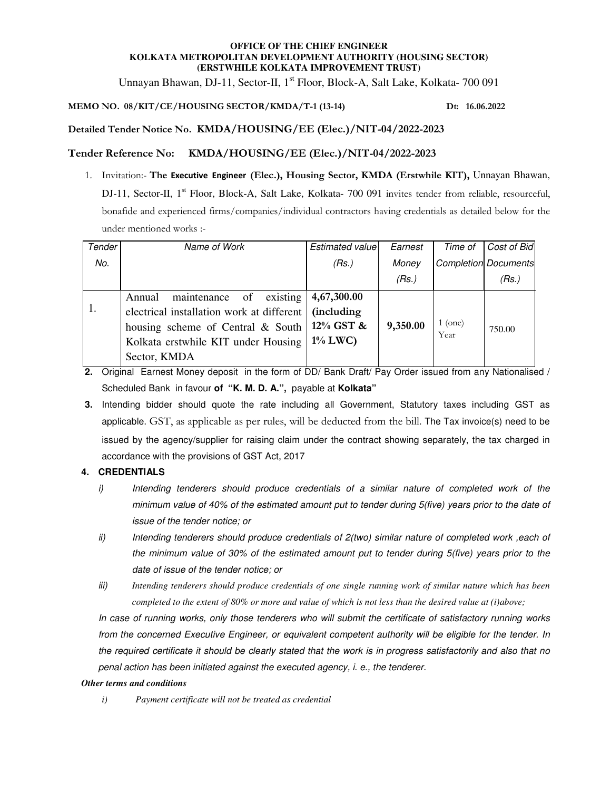#### **OFFICE OF THE CHIEF ENGINEER KOLKATA METROPOLITAN DEVELOPMENT AUTHORITY (HOUSING SECTOR) (ERSTWHILE KOLKATA IMPROVEMENT TRUST)**

Unnayan Bhawan, DJ-11, Sector-II, 1<sup>st</sup> Floor, Block-A, Salt Lake, Kolkata- 700 091

# **MEMO NO. 08/KIT/CE/HOUSING SECTOR/KMDA/T-1 (13-14) Dt: 16.06.2022**

# **Detailed Tender Notice No. KMDA/HOUSING/EE (Elec.)/NIT-04/2022-2023**

# **Tender Reference No: KMDA/HOUSING/EE (Elec.)/NIT-04/2022-2023**

1. Invitation:- **The Executive Engineer (Elec.), Housing Sector, KMDA (Erstwhile KIT),** Unnayan Bhawan, DJ-11, Sector-II, 1<sup>st</sup> Floor, Block-A, Salt Lake, Kolkata- 700 091 invites tender from reliable, resourceful, bonafide and experienced firms/companies/individual contractors having credentials as detailed below for the under mentioned works :-

| Tender | Name of Work                                                                                                                                                                  | Estimated value                                              | Earnest  | Time of         | Cost of Bid                 |
|--------|-------------------------------------------------------------------------------------------------------------------------------------------------------------------------------|--------------------------------------------------------------|----------|-----------------|-----------------------------|
| No.    |                                                                                                                                                                               | (Rs.)                                                        | Money    |                 | <b>Completion Documents</b> |
|        |                                                                                                                                                                               |                                                              | (Rs.)    |                 | (Rs.)                       |
|        | existing<br>maintenance of<br>Annual<br>electrical installation work at different<br>housing scheme of Central & South<br>Kolkata erstwhile KIT under Housing<br>Sector, KMDA | 4,67,300.00<br><i>(including)</i><br>12% GST &<br>$1\%$ LWC) | 9,350.00 | 1 (one)<br>Year | 750.00                      |

- **2.** Original Earnest Money deposit in the form of DD/ Bank Draft/ Pay Order issued from any Nationalised / Scheduled Bank in favour **of "K. M. D. A.",** payable at **Kolkata"**
- **3.** Intending bidder should quote the rate including all Government, Statutory taxes including GST as applicable. GST, as applicable as per rules, will be deducted from the bill. The Tax invoice(s) need to be issued by the agency/supplier for raising claim under the contract showing separately, the tax charged in accordance with the provisions of GST Act, 2017

## **4. CREDENTIALS**

- i) Intending tenderers should produce credentials of a similar nature of completed work of the minimum value of 40% of the estimated amount put to tender during 5(five) years prior to the date of issue of the tender notice; or
- ii) Intending tenderers should produce credentials of 2(two) similar nature of completed work , each of the minimum value of 30% of the estimated amount put to tender during 5(five) years prior to the date of issue of the tender notice; or
- iii) *Intending tenderers should produce credentials of one single running work of similar nature which has been completed to the extent of 80% or more and value of which is not less than the desired value at (i)above;*

In case of running works, only those tenderers who will submit the certificate of satisfactory running works from the concerned Executive Engineer, or equivalent competent authority will be eligible for the tender. In the required certificate it should be clearly stated that the work is in progress satisfactorily and also that no penal action has been initiated against the executed agency, i. e., the tenderer.

#### *Other terms and conditions*

*i) Payment certificate will not be treated as credential*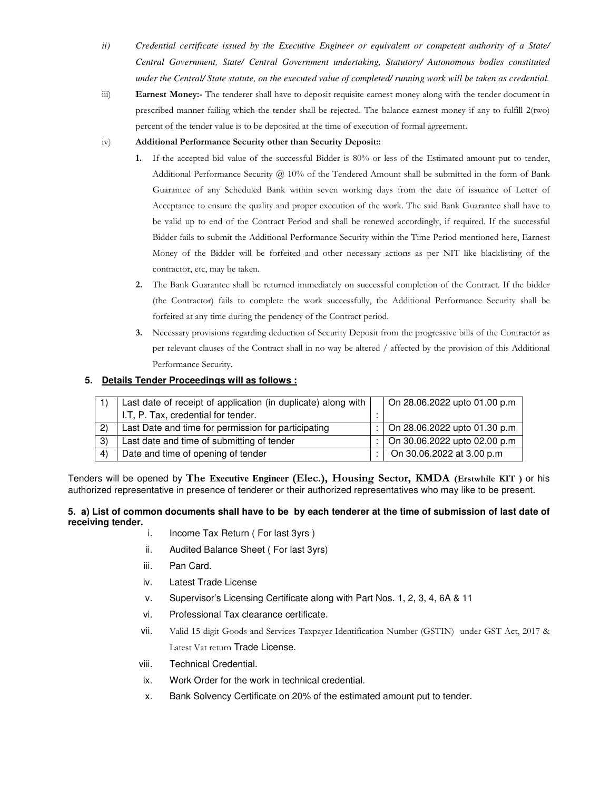- *ii) Credential certificate issued by the Executive Engineer or equivalent or competent authority of a State/ Central Government, State/ Central Government undertaking, Statutory/ Autonomous bodies constituted under the Central/ State statute, on the executed value of completed/ running work will be taken as credential.*
- iii) **Earnest Money:-** The tenderer shall have to deposit requisite earnest money along with the tender document in prescribed manner failing which the tender shall be rejected. The balance earnest money if any to fulfill 2(two) percent of the tender value is to be deposited at the time of execution of formal agreement.

### iv) **Additional Performance Security other than Security Deposit::**

- **1.** If the accepted bid value of the successful Bidder is 80% or less of the Estimated amount put to tender, Additional Performance Security  $\omega$  10% of the Tendered Amount shall be submitted in the form of Bank Guarantee of any Scheduled Bank within seven working days from the date of issuance of Letter of Acceptance to ensure the quality and proper execution of the work. The said Bank Guarantee shall have to be valid up to end of the Contract Period and shall be renewed accordingly, if required. If the successful Bidder fails to submit the Additional Performance Security within the Time Period mentioned here, Earnest Money of the Bidder will be forfeited and other necessary actions as per NIT like blacklisting of the contractor, etc, may be taken.
- **2.** The Bank Guarantee shall be returned immediately on successful completion of the Contract. If the bidder (the Contractor) fails to complete the work successfully, the Additional Performance Security shall be forfeited at any time during the pendency of the Contract period.
- **3.** Necessary provisions regarding deduction of Security Deposit from the progressive bills of the Contractor as per relevant clauses of the Contract shall in no way be altered / affected by the provision of this Additional Performance Security.

#### **5. Details Tender Proceedings will as follows :**

|                  | Last date of receipt of application (in duplicate) along with |  | On 28.06.2022 upto 01.00 p.m         |  |  |  |
|------------------|---------------------------------------------------------------|--|--------------------------------------|--|--|--|
|                  | I.T. P. Tax, credential for tender.                           |  |                                      |  |  |  |
| (2)              | Last Date and time for permission for participating           |  | $\vert$ On 28.06.2022 upto 01.30 p.m |  |  |  |
| 3)               | Last date and time of submitting of tender                    |  | $\vert$ On 30.06.2022 upto 02.00 p.m |  |  |  |
| $\left(4\right)$ | Date and time of opening of tender                            |  | On 30.06.2022 at 3.00 p.m            |  |  |  |

Tenders will be opened by **The Executive Engineer (Elec.), Housing Sector, KMDA (Erstwhile KIT )** or his authorized representative in presence of tenderer or their authorized representatives who may like to be present.

## **5. a) List of common documents shall have to be by each tenderer at the time of submission of last date of receiving tender.**

- i. Income Tax Return ( For last 3yrs )
- ii. Audited Balance Sheet ( For last 3yrs)
- iii. Pan Card.
- iv. Latest Trade License
- v. Supervisor's Licensing Certificate along with Part Nos. 1, 2, 3, 4, 6A & 11
- vi. Professional Tax clearance certificate.
- vii. Valid 15 digit Goods and Services Taxpayer Identification Number (GSTIN) under GST Act, 2017 & Latest Vat return Trade License.
- viii. Technical Credential.
- ix. Work Order for the work in technical credential.
- x. Bank Solvency Certificate on 20% of the estimated amount put to tender.